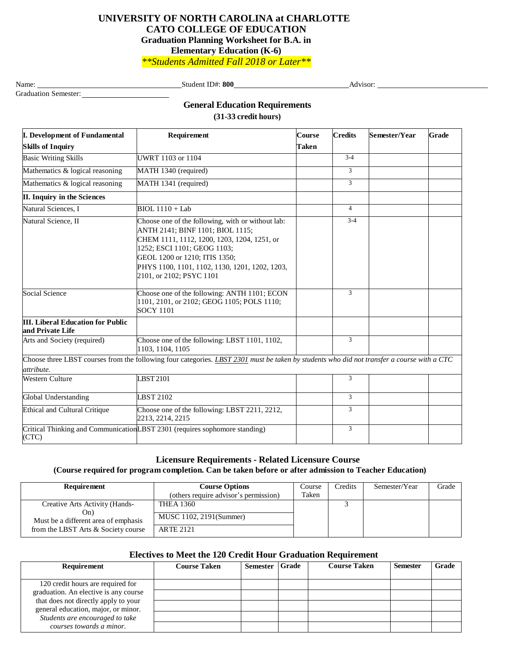## **UNIVERSITY OF NORTH CAROLINA at CHARLOTTE CATO COLLEGE OF EDUCATION Graduation Planning Worksheet for B.A. in Elementary Education (K-6)**

*\*\*Students Admitted Fall 2018 or Later\*\**

Graduation Semester:

Name: Student ID#: **800** Advisor: Advisor: Advisor: Advisor: Advisor: Advisor: Advisor: Advisor: Advisor: Advisor: Advisor: Advisor: Advisor: Advisor: Advisor: Advisor: Advisor: Advisor: Advisor: Advisor: Advisor: Advisor:

**General Education Requirements**

**(31-33 credit hours)**

| <b>I.</b> Development of Fundamental                         | Requirement                                                                                                                                                                                                                                                                        | <b>Course</b> | <b>Credits</b> | Semester/Year | <b>Grade</b> |
|--------------------------------------------------------------|------------------------------------------------------------------------------------------------------------------------------------------------------------------------------------------------------------------------------------------------------------------------------------|---------------|----------------|---------------|--------------|
| <b>Skills of Inquiry</b>                                     |                                                                                                                                                                                                                                                                                    | Taken         |                |               |              |
| <b>Basic Writing Skills</b>                                  | UWRT 1103 or 1104                                                                                                                                                                                                                                                                  |               | $3 - 4$        |               |              |
| Mathematics & logical reasoning                              | MATH 1340 (required)                                                                                                                                                                                                                                                               |               | 3              |               |              |
| Mathematics & logical reasoning                              | MATH 1341 (required)                                                                                                                                                                                                                                                               |               | $\overline{3}$ |               |              |
| II. Inquiry in the Sciences                                  |                                                                                                                                                                                                                                                                                    |               |                |               |              |
| Natural Sciences, I                                          | $BIOL 1110 + Lab$                                                                                                                                                                                                                                                                  |               | $\overline{4}$ |               |              |
| Natural Science, II                                          | Choose one of the following, with or without lab:<br>ANTH 2141; BINF 1101; BIOL 1115;<br>CHEM 1111, 1112, 1200, 1203, 1204, 1251, or<br>1252; ESCI 1101; GEOG 1103;<br>GEOL 1200 or 1210; ITIS 1350;<br>PHYS 1100, 1101, 1102, 1130, 1201, 1202, 1203,<br>2101, or 2102; PSYC 1101 |               | $3 - 4$        |               |              |
| <b>Social Science</b>                                        | Choose one of the following: ANTH 1101; ECON<br>1101, 2101, or 2102; GEOG 1105; POLS 1110;<br><b>SOCY 1101</b>                                                                                                                                                                     |               | 3              |               |              |
| <b>III.</b> Liberal Education for Public<br>and Private Life |                                                                                                                                                                                                                                                                                    |               |                |               |              |
| Arts and Society (required)                                  | Choose one of the following: LBST 1101, 1102,<br>1103, 1104, 1105                                                                                                                                                                                                                  |               | $\overline{3}$ |               |              |
| attribute.                                                   | Choose three LBST courses from the following four categories. LBST 2301 must be taken by students who did not transfer a course with a CTC                                                                                                                                         |               |                |               |              |
| Western Culture                                              | LBST 2101                                                                                                                                                                                                                                                                          |               | 3              |               |              |
| <b>Global Understanding</b>                                  | <b>LBST 2102</b>                                                                                                                                                                                                                                                                   |               | 3              |               |              |
| <b>Ethical and Cultural Critique</b>                         | Choose one of the following: LBST 2211, 2212,<br>2213, 2214, 2215                                                                                                                                                                                                                  |               | 3              |               |              |
| (CTC)                                                        | Critical Thinking and CommunicationLBST 2301 (requires sophomore standing)                                                                                                                                                                                                         |               | $\mathfrak{Z}$ |               |              |

# **Licensure Requirements - Related Licensure Course**

 **(Course required for program completion. Can be taken before or after admission to Teacher Education)**

| Requirement                                                                                                          | <b>Course Options</b><br>(others require advisor's permission)  | Course<br>Taken | Credits | Semester/Year | Grade |
|----------------------------------------------------------------------------------------------------------------------|-----------------------------------------------------------------|-----------------|---------|---------------|-------|
| Creative Arts Activity (Hands-<br>On)<br>Must be a different area of emphasis<br>from the LBST Arts & Society course | <b>THEA 1360</b><br>MUSC 1102, 2191(Summer)<br><b>ARTE 2121</b> |                 |         |               |       |

### **Electives to Meet the 120 Credit Hour Graduation Requirement**

| Requirement                                                                 | <b>Course Taken</b> | <b>Semester</b> | <b>Grade</b> | <b>Course Taken</b> | <b>Semester</b> | Grade |
|-----------------------------------------------------------------------------|---------------------|-----------------|--------------|---------------------|-----------------|-------|
|                                                                             |                     |                 |              |                     |                 |       |
| 120 credit hours are required for<br>graduation. An elective is any course  |                     |                 |              |                     |                 |       |
|                                                                             |                     |                 |              |                     |                 |       |
| that does not directly apply to your<br>general education, major, or minor. |                     |                 |              |                     |                 |       |
| Students are encouraged to take<br>courses towards a minor.                 |                     |                 |              |                     |                 |       |
|                                                                             |                     |                 |              |                     |                 |       |